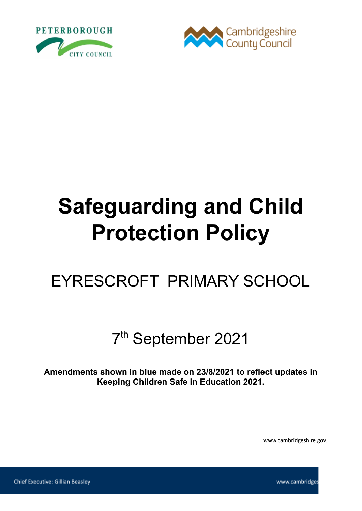



# **Safeguarding and Child Protection Policy**

# EYRESCROFT PRIMARY SCHOOL

# 7 th September 2021

**Amendments shown in blue made on 23/8/2021 to reflect updates in Keeping Children Safe in Education 2021.**

www.cambridgeshire.gov.

www.cambridges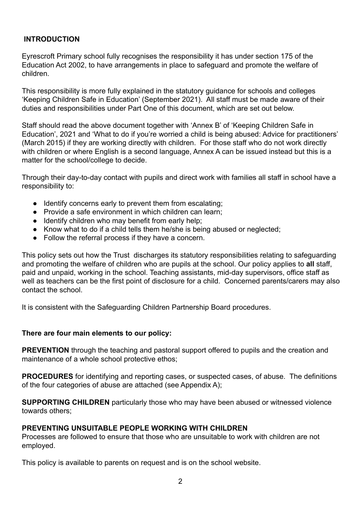#### **INTRODUCTION**

Eyrescroft Primary school fully recognises the responsibility it has under section 175 of the Education Act 2002, to have arrangements in place to safeguard and promote the welfare of children.

This responsibility is more fully explained in the statutory guidance for schools and colleges 'Keeping Children Safe in Education' (September 2021). All staff must be made aware of their duties and responsibilities under Part One of this document, which are set out below.

Staff should read the above document together with 'Annex B' of 'Keeping Children Safe in Education', 2021 and 'What to do if you're worried a child is being abused: Advice for practitioners' (March 2015) if they are working directly with children. For those staff who do not work directly with children or where English is a second language, Annex A can be issued instead but this is a matter for the school/college to decide.

Through their day-to-day contact with pupils and direct work with families all staff in school have a responsibility to:

- Identify concerns early to prevent them from escalating;
- Provide a safe environment in which children can learn;
- Identify children who may benefit from early help;
- Know what to do if a child tells them he/she is being abused or neglected;
- Follow the referral process if they have a concern.

This policy sets out how the Trust discharges its statutory responsibilities relating to safeguarding and promoting the welfare of children who are pupils at the school. Our policy applies to **all** staff, paid and unpaid, working in the school. Teaching assistants, mid-day supervisors, office staff as well as teachers can be the first point of disclosure for a child. Concerned parents/carers may also contact the school.

It is consistent with the Safeguarding Children Partnership Board procedures.

#### **There are four main elements to our policy:**

**PREVENTION** through the teaching and pastoral support offered to pupils and the creation and maintenance of a whole school protective ethos;

**PROCEDURES** for identifying and reporting cases, or suspected cases, of abuse. The definitions of the four categories of abuse are attached (see Appendix A);

**SUPPORTING CHILDREN** particularly those who may have been abused or witnessed violence towards others;

#### **PREVENTING UNSUITABLE PEOPLE WORKING WITH CHILDREN**

Processes are followed to ensure that those who are unsuitable to work with children are not employed.

This policy is available to parents on request and is on the school website.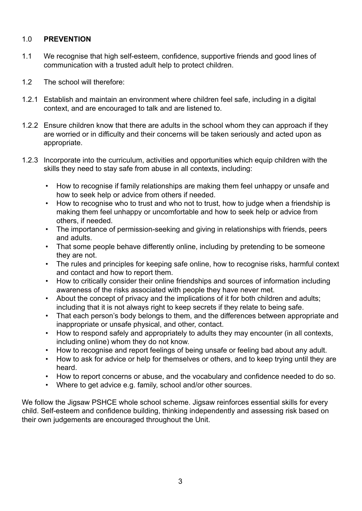#### 1.0 **PREVENTION**

- 1.1 We recognise that high self-esteem, confidence, supportive friends and good lines of communication with a trusted adult help to protect children.
- 1.2 The school will therefore:
- 1.2.1 Establish and maintain an environment where children feel safe, including in a digital context, and are encouraged to talk and are listened to.
- 1.2.2 Ensure children know that there are adults in the school whom they can approach if they are worried or in difficulty and their concerns will be taken seriously and acted upon as appropriate.
- 1.2.3 Incorporate into the curriculum, activities and opportunities which equip children with the skills they need to stay safe from abuse in all contexts, including:
	- How to recognise if family relationships are making them feel unhappy or unsafe and how to seek help or advice from others if needed.
	- How to recognise who to trust and who not to trust, how to judge when a friendship is making them feel unhappy or uncomfortable and how to seek help or advice from others, if needed.
	- The importance of permission-seeking and giving in relationships with friends, peers and adults.
	- That some people behave differently online, including by pretending to be someone they are not.
	- The rules and principles for keeping safe online, how to recognise risks, harmful context and contact and how to report them.
	- How to critically consider their online friendships and sources of information including awareness of the risks associated with people they have never met.
	- About the concept of privacy and the implications of it for both children and adults; including that it is not always right to keep secrets if they relate to being safe.
	- That each person's body belongs to them, and the differences between appropriate and inappropriate or unsafe physical, and other, contact.
	- How to respond safely and appropriately to adults they may encounter (in all contexts, including online) whom they do not know.
	- How to recognise and report feelings of being unsafe or feeling bad about any adult.
	- How to ask for advice or help for themselves or others, and to keep trying until they are heard.
	- How to report concerns or abuse, and the vocabulary and confidence needed to do so.
	- Where to get advice e.g. family, school and/or other sources.

We follow the Jigsaw PSHCE whole school scheme. Jigsaw reinforces essential skills for every child. Self-esteem and confidence building, thinking independently and assessing risk based on their own judgements are encouraged throughout the Unit.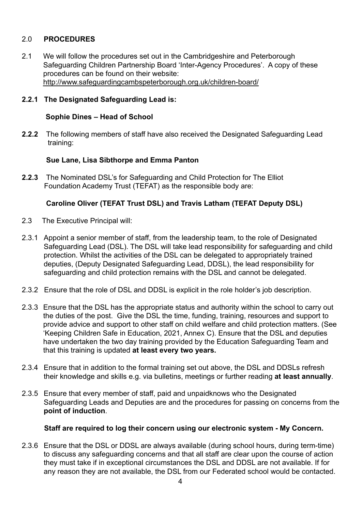#### 2.0 **PROCEDURES**

2.1 We will follow the procedures set out in the Cambridgeshire and Peterborough Safeguarding Children Partnership Board 'Inter-Agency Procedures'. A copy of these procedures can be found on their website: <http://www.safeguardingcambspeterborough.org.uk/children-board/>

#### **2.2.1 The Designated Safeguarding Lead is:**

#### **Sophie Dines – Head of School**

**2.2.2** The following members of staff have also received the Designated Safeguarding Lead training:

#### **Sue Lane, Lisa Sibthorpe and Emma Panton**

**2.2.3** The Nominated DSL's for Safeguarding and Child Protection for The Elliot Foundation Academy Trust (TEFAT) as the responsible body are:

#### **Caroline Oliver (TEFAT Trust DSL) and Travis Latham (TEFAT Deputy DSL)**

- 2.3 The Executive Principal will:
- 2.3.1 Appoint a senior member of staff, from the leadership team, to the role of Designated Safeguarding Lead (DSL). The DSL will take lead responsibility for safeguarding and child protection. Whilst the activities of the DSL can be delegated to appropriately trained deputies, (Deputy Designated Safeguarding Lead, DDSL), the lead responsibility for safeguarding and child protection remains with the DSL and cannot be delegated.
- 2.3.2 Ensure that the role of DSL and DDSL is explicit in the role holder's job description.
- 2.3.3 Ensure that the DSL has the appropriate status and authority within the school to carry out the duties of the post. Give the DSL the time, funding, training, resources and support to provide advice and support to other staff on child welfare and child protection matters. (See 'Keeping Children Safe in Education, 2021, Annex C). Ensure that the DSL and deputies have undertaken the two day training provided by the Education Safeguarding Team and that this training is updated **at least every two years.**
- 2.3.4 Ensure that in addition to the formal training set out above, the DSL and DDSLs refresh their knowledge and skills e.g. via bulletins, meetings or further reading **at least annually**.
- 2.3.5 Ensure that every member of staff, paid and unpaidknows who the Designated Safeguarding Leads and Deputies are and the procedures for passing on concerns from the **point of induction**.

#### **Staff are required to log their concern using our electronic system - My Concern.**

2.3.6 Ensure that the DSL or DDSL are always available (during school hours, during term-time) to discuss any safeguarding concerns and that all staff are clear upon the course of action they must take if in exceptional circumstances the DSL and DDSL are not available. If for any reason they are not available, the DSL from our Federated school would be contacted.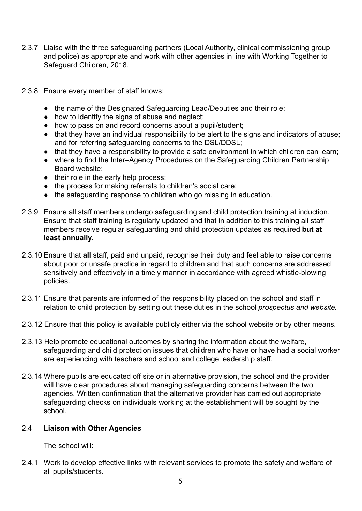- 2.3.7 Liaise with the three safeguarding partners (Local Authority, clinical commissioning group and police) as appropriate and work with other agencies in line with Working Together to Safeguard Children, 2018.
- 2.3.8 Ensure every member of staff knows:
	- the name of the Designated Safeguarding Lead/Deputies and their role;
	- $\bullet$  how to identify the signs of abuse and neglect;
	- how to pass on and record concerns about a pupil/student;
	- that they have an individual responsibility to be alert to the signs and indicators of abuse; and for referring safeguarding concerns to the DSL/DDSL;
	- that they have a responsibility to provide a safe environment in which children can learn;
	- where to find the Inter–Agency Procedures on the Safeguarding Children Partnership Board website;
	- their role in the early help process;
	- the process for making referrals to children's social care;
	- the safeguarding response to children who go missing in education.
- 2.3.9 Ensure all staff members undergo safeguarding and child protection training at induction. Ensure that staff training is regularly updated and that in addition to this training all staff members receive regular safeguarding and child protection updates as required **but at least annually.**
- 2.3.10 Ensure that **all** staff, paid and unpaid, recognise their duty and feel able to raise concerns about poor or unsafe practice in regard to children and that such concerns are addressed sensitively and effectively in a timely manner in accordance with agreed whistle-blowing policies.
- 2.3.11 Ensure that parents are informed of the responsibility placed on the school and staff in relation to child protection by setting out these duties in the school *prospectus and website.*
- 2.3.12 Ensure that this policy is available publicly either via the school website or by other means*.*
- 2.3.13 Help promote educational outcomes by sharing the information about the welfare, safeguarding and child protection issues that children who have or have had a social worker are experiencing with teachers and school and college leadership staff.
- 2.3.14 Where pupils are educated off site or in alternative provision, the school and the provider will have clear procedures about managing safeguarding concerns between the two agencies. Written confirmation that the alternative provider has carried out appropriate safeguarding checks on individuals working at the establishment will be sought by the school.

#### 2.4 **Liaison with Other Agencies**

The school will:

2.4.1 Work to develop effective links with relevant services to promote the safety and welfare of all pupils/students.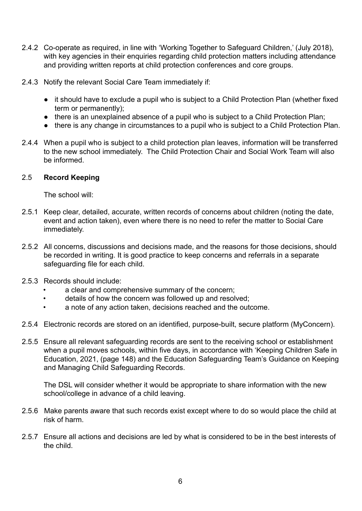- 2.4.2 Co-operate as required, in line with 'Working Together to Safeguard Children,' (July 2018), with key agencies in their enquiries regarding child protection matters including attendance and providing written reports at child protection conferences and core groups.
- 2.4.3 Notify the relevant Social Care Team immediately if:
	- it should have to exclude a pupil who is subject to a Child Protection Plan (whether fixed term or permanently);
	- there is an unexplained absence of a pupil who is subject to a Child Protection Plan;
	- there is any change in circumstances to a pupil who is subject to a Child Protection Plan.
- 2.4.4 When a pupil who is subject to a child protection plan leaves, information will be transferred to the new school immediately. The Child Protection Chair and Social Work Team will also be informed.

#### 2.5 **Record Keeping**

The school will:

- 2.5.1 Keep clear, detailed, accurate, written records of concerns about children (noting the date, event and action taken), even where there is no need to refer the matter to Social Care immediately.
- 2.5.2 All concerns, discussions and decisions made, and the reasons for those decisions, should be recorded in writing. It is good practice to keep concerns and referrals in a separate safeguarding file for each child.
- 2.5.3 Records should include:
	- a clear and comprehensive summary of the concern;
	- details of how the concern was followed up and resolved;
	- a note of any action taken, decisions reached and the outcome.
- 2.5.4 Electronic records are stored on an identified, purpose-built, secure platform (MyConcern).
- 2.5.5 Ensure all relevant safeguarding records are sent to the receiving school or establishment when a pupil moves schools, within five days, in accordance with 'Keeping Children Safe in Education, 2021, (page 148) and the Education Safeguarding Team's Guidance on Keeping and Managing Child Safeguarding Records.

The DSL will consider whether it would be appropriate to share information with the new school/college in advance of a child leaving.

- 2.5.6 Make parents aware that such records exist except where to do so would place the child at risk of harm.
- 2.5.7 Ensure all actions and decisions are led by what is considered to be in the best interests of the child.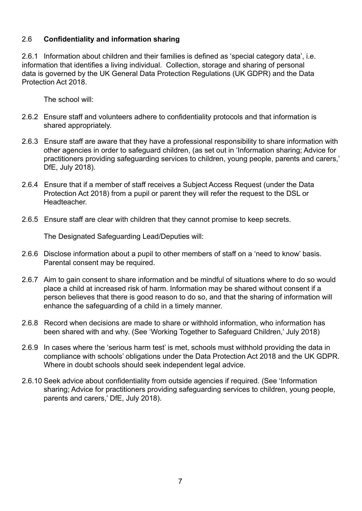#### 2.6 **Confidentiality and information sharing**

2.6.1 Information about children and their families is defined as 'special category data', i.e. information that identifies a living individual. Collection, storage and sharing of personal data is governed by the UK General Data Protection Regulations (UK GDPR) and the Data Protection Act 2018.

The school will:

- 2.6.2 Ensure staff and volunteers adhere to confidentiality protocols and that information is shared appropriately.
- 2.6.3 Ensure staff are aware that they have a professional responsibility to share information with other agencies in order to safeguard children, (as set out in 'Information sharing; Advice for practitioners providing safeguarding services to children, young people, parents and carers,' DfE, July 2018).
- 2.6.4 Ensure that if a member of staff receives a Subject Access Request (under the Data Protection Act 2018) from a pupil or parent they will refer the request to the DSL or Headteacher.
- 2.6.5 Ensure staff are clear with children that they cannot promise to keep secrets.

The Designated Safeguarding Lead/Deputies will:

- 2.6.6 Disclose information about a pupil to other members of staff on a 'need to know' basis. Parental consent may be required.
- 2.6.7 Aim to gain consent to share information and be mindful of situations where to do so would place a child at increased risk of harm. Information may be shared without consent if a person believes that there is good reason to do so, and that the sharing of information will enhance the safeguarding of a child in a timely manner.
- 2.6.8 Record when decisions are made to share or withhold information, who information has been shared with and why. (See 'Working Together to Safeguard Children,' July 2018)
- 2.6.9 In cases where the 'serious harm test' is met, schools must withhold providing the data in compliance with schools' obligations under the Data Protection Act 2018 and the UK GDPR. Where in doubt schools should seek independent legal advice.
- 2.6.10 Seek advice about confidentiality from outside agencies if required. (See 'Information sharing; Advice for practitioners providing safeguarding services to children, young people, parents and carers,' DfE, July 2018).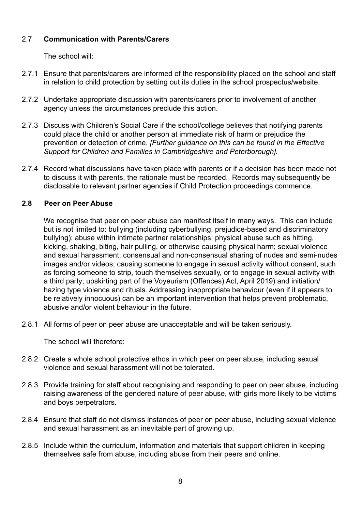#### 2.7 **Communication with Parents/Carers**

The school will:

- 2.7.1 Ensure that parents/carers are informed of the responsibility placed on the school and staff in relation to child protection by setting out its duties in the school prospectus/website.
- 2.7.2 Undertake appropriate discussion with parents/carers prior to involvement of another agency unless the circumstances preclude this action.
- 2.7.3 Discuss with Children's Social Care if the school/college believes that notifying parents could place the child or another person at immediate risk of harm or prejudice the prevention or detection of crime. *[Further guidance on this can be found in the Effective Support for Children and Families in Cambridgeshire and Peterborough].*
- 2.7.4 Record what discussions have taken place with parents or if a decision has been made not to discuss it with parents, the rationale must be recorded. Records may subsequently be disclosable to relevant partner agencies if Child Protection proceedings commence.

#### **2.8 Peer on Peer Abuse**

We recognise that peer on peer abuse can manifest itself in many ways. This can include but is not limited to: bullying (including cyberbullying, prejudice-based and discriminatory bullying); abuse within intimate partner relationships; physical abuse such as hitting, kicking, shaking, biting, hair pulling, or otherwise causing physical harm; sexual violence and sexual harassment; consensual and non-consensual sharing of nudes and semi-nudes images and/or videos; causing someone to engage in sexual activity without consent, such as forcing someone to strip, touch themselves sexually, or to engage in sexual activity with a third party; upskirting part of the Voyeurism (Offences) Act, April 2019) and initiation/ hazing type violence and rituals. Addressing inappropriate behaviour (even if it appears to be relatively innocuous) can be an important intervention that helps prevent problematic, abusive and/or violent behaviour in the future.

2.8.1 All forms of peer on peer abuse are unacceptable and will be taken seriously.

The school will therefore:

- 2.8.2 Create a whole school protective ethos in which peer on peer abuse, including sexual violence and sexual harassment will not be tolerated.
- 2.8.3 Provide training for staff about recognising and responding to peer on peer abuse, including raising awareness of the gendered nature of peer abuse, with girls more likely to be victims and boys perpetrators.
- 2.8.4 Ensure that staff do not dismiss instances of peer on peer abuse, including sexual violence and sexual harassment as an inevitable part of growing up.
- 2.8.5 Include within the curriculum, information and materials that support children in keeping themselves safe from abuse, including abuse from their peers and online.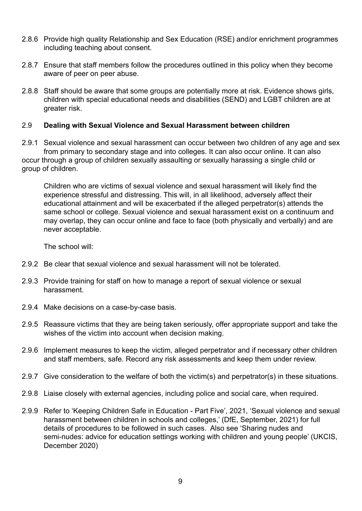- 2.8.6 Provide high quality Relationship and Sex Education (RSE) and/or enrichment programmes including teaching about consent.
- 2.8.7 Ensure that staff members follow the procedures outlined in this policy when they become aware of peer on peer abuse.
- 2.8.8 Staff should be aware that some groups are potentially more at risk. Evidence shows girls, children with special educational needs and disabilities (SEND) and LGBT children are at greater risk.

#### 2.9 **Dealing with Sexual Violence and Sexual Harassment between children**

2.9.1 Sexual violence and sexual harassment can occur between two children of any age and sex from primary to secondary stage and into colleges. It can also occur online. It can also occur through a group of children sexually assaulting or sexually harassing a single child or group of children.

Children who are victims of sexual violence and sexual harassment will likely find the experience stressful and distressing. This will, in all likelihood, adversely affect their educational attainment and will be exacerbated if the alleged perpetrator(s) attends the same school or college. Sexual violence and sexual harassment exist on a continuum and may overlap, they can occur online and face to face (both physically and verbally) and are never acceptable.

The school will:

- 2.9.2 Be clear that sexual violence and sexual harassment will not be tolerated.
- 2.9.3 Provide training for staff on how to manage a report of sexual violence or sexual harassment.
- 2.9.4 Make decisions on a case-by-case basis.
- 2.9.5 Reassure victims that they are being taken seriously, offer appropriate support and take the wishes of the victim into account when decision making.
- 2.9.6 Implement measures to keep the victim, alleged perpetrator and if necessary other children and staff members, safe. Record any risk assessments and keep them under review.
- 2.9.7 Give consideration to the welfare of both the victim(s) and perpetrator(s) in these situations.
- 2.9.8 Liaise closely with external agencies, including police and social care, when required.
- 2.9.9 Refer to 'Keeping Children Safe in Education Part Five', 2021, 'Sexual violence and sexual harassment between children in schools and colleges,' (DfE, September, 2021) for full details of procedures to be followed in such cases. Also see 'Sharing nudes and semi-nudes: advice for education settings working with children and young people' (UKCIS, December 2020)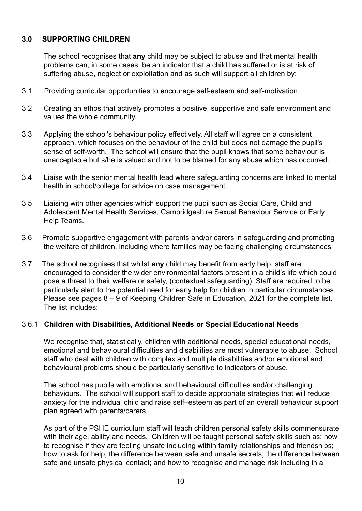#### **3.0 SUPPORTING CHILDREN**

The school recognises that **any** child may be subject to abuse and that mental health problems can, in some cases, be an indicator that a child has suffered or is at risk of suffering abuse, neglect or exploitation and as such will support all children by:

- 3.1 Providing curricular opportunities to encourage self-esteem and self-motivation.
- 3.2 Creating an ethos that actively promotes a positive, supportive and safe environment and values the whole community.
- 3.3 Applying the school's behaviour policy effectively. All staff will agree on a consistent approach, which focuses on the behaviour of the child but does not damage the pupil's sense of self-worth. The school will ensure that the pupil knows that some behaviour is unacceptable but s/he is valued and not to be blamed for any abuse which has occurred.
- 3.4 Liaise with the senior mental health lead where safeguarding concerns are linked to mental health in school/college for advice on case management.
- 3.5 Liaising with other agencies which support the pupil such as Social Care, Child and Adolescent Mental Health Services, Cambridgeshire Sexual Behaviour Service or Early Help Teams.
- 3.6 Promote supportive engagement with parents and/or carers in safeguarding and promoting the welfare of children, including where families may be facing challenging circumstances
- 3.7 The school recognises that whilst **any** child may benefit from early help, staff are encouraged to consider the wider environmental factors present in a child's life which could pose a threat to their welfare or safety, (contextual safeguarding). Staff are required to be particularly alert to the potential need for early help for children in particular circumstances. Please see pages 8 – 9 of Keeping Children Safe in Education, 2021 for the complete list. The list includes:

#### 3.6.1 **Children with Disabilities, Additional Needs or Special Educational Needs**

We recognise that, statistically, children with additional needs, special educational needs, emotional and behavioural difficulties and disabilities are most vulnerable to abuse. School staff who deal with children with complex and multiple disabilities and/or emotional and behavioural problems should be particularly sensitive to indicators of abuse*.*

The school has pupils with emotional and behavioural difficulties and/or challenging behaviours. The school will support staff to decide appropriate strategies that will reduce anxiety for the individual child and raise self–esteem as part of an overall behaviour support plan agreed with parents/carers.

As part of the PSHE curriculum staff will teach children personal safety skills commensurate with their age, ability and needs. Children will be taught personal safety skills such as: how to recognise if they are feeling unsafe including within family relationships and friendships; how to ask for help; the difference between safe and unsafe secrets; the difference between safe and unsafe physical contact; and how to recognise and manage risk including in a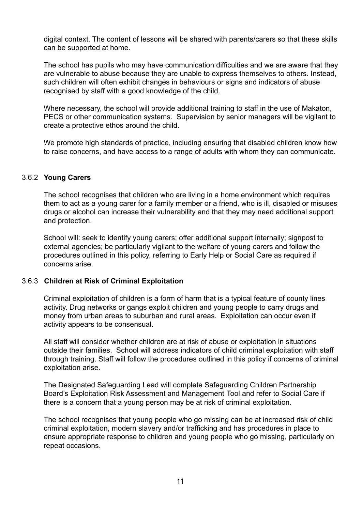digital context. The content of lessons will be shared with parents/carers so that these skills can be supported at home.

The school has pupils who may have communication difficulties and we are aware that they are vulnerable to abuse because they are unable to express themselves to others. Instead, such children will often exhibit changes in behaviours or signs and indicators of abuse recognised by staff with a good knowledge of the child.

Where necessary, the school will provide additional training to staff in the use of Makaton, PECS or other communication systems. Supervision by senior managers will be vigilant to create a protective ethos around the child.

We promote high standards of practice, including ensuring that disabled children know how to raise concerns, and have access to a range of adults with whom they can communicate.

#### 3.6.2 **Young Carers**

The school recognises that children who are living in a home environment which requires them to act as a young carer for a family member or a friend, who is ill, disabled or misuses drugs or alcohol can increase their vulnerability and that they may need additional support and protection.

School will: seek to identify young carers; offer additional support internally; signpost to external agencies; be particularly vigilant to the welfare of young carers and follow the procedures outlined in this policy, referring to Early Help or Social Care as required if concerns arise.

#### 3.6.3 **Children at Risk of Criminal Exploitation**

Criminal exploitation of children is a form of harm that is a typical feature of county lines activity. Drug networks or gangs exploit children and young people to carry drugs and money from urban areas to suburban and rural areas. Exploitation can occur even if activity appears to be consensual.

All staff will consider whether children are at risk of abuse or exploitation in situations outside their families. School will address indicators of child criminal exploitation with staff through training. Staff will follow the procedures outlined in this policy if concerns of criminal exploitation arise.

The Designated Safeguarding Lead will complete Safeguarding Children Partnership Board's [Exploitation Risk Assessment and Management](http://www.safeguardingcambspeterborough.org.uk/wp-content/uploads/2018/05/Exploitation-CSECCE-Risk-Assessment-Tool.docx) Tool and refer to Social Care if there is a concern that a young person may be at risk of criminal exploitation.

The school recognises that young people who go missing can be at increased risk of child criminal exploitation, modern slavery and/or trafficking and has procedures in place to ensure appropriate response to children and young people who go missing, particularly on repeat occasions.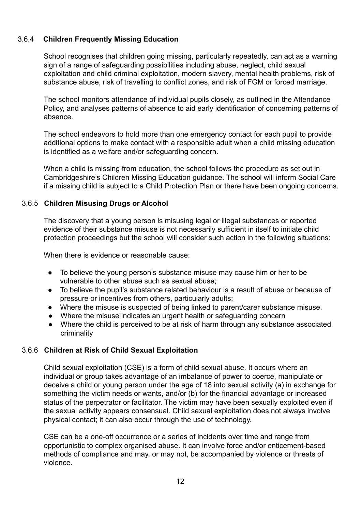#### 3.6.4 **Children Frequently Missing Education**

School recognises that children going missing, particularly repeatedly, can act as a warning sign of a range of safeguarding possibilities including abuse, neglect, child sexual exploitation and child criminal exploitation, modern slavery, mental health problems, risk of substance abuse, risk of travelling to conflict zones, and risk of FGM or forced marriage.

The school monitors attendance of individual pupils closely, as outlined in the Attendance Policy, and analyses patterns of absence to aid early identification of concerning patterns of absence.

The school endeavors to hold more than one emergency contact for each pupil to provide additional options to make contact with a responsible adult when a child missing education is identified as a welfare and/or safeguarding concern.

When a child is missing from education, the school follows the procedure as set out in Cambridgeshire's Children Missing Education guidance. The school will inform Social Care if a missing child is subject to a Child Protection Plan or there have been ongoing concerns.

#### 3.6.5 **Children Misusing Drugs or Alcohol**

The discovery that a young person is misusing legal or illegal substances or reported evidence of their substance misuse is not necessarily sufficient in itself to initiate child protection proceedings but the school will consider such action in the following situations:

When there is evidence or reasonable cause:

- To believe the young person's substance misuse may cause him or her to be vulnerable to other abuse such as sexual abuse;
- To believe the pupil's substance related behaviour is a result of abuse or because of pressure or incentives from others, particularly adults;
- Where the misuse is suspected of being linked to parent/carer substance misuse.
- Where the misuse indicates an urgent health or safeguarding concern
- Where the child is perceived to be at risk of harm through any substance associated criminality

#### 3.6.6 **Children at Risk of Child Sexual Exploitation**

Child sexual exploitation (CSE) is a form of child sexual abuse. It occurs where an individual or group takes advantage of an imbalance of power to coerce, manipulate or deceive a child or young person under the age of 18 into sexual activity (a) in exchange for something the victim needs or wants, and/or (b) for the financial advantage or increased status of the perpetrator or facilitator. The victim may have been sexually exploited even if the sexual activity appears consensual. Child sexual exploitation does not always involve physical contact; it can also occur through the use of technology.

CSE can be a one-off occurrence or a series of incidents over time and range from opportunistic to complex organised abuse. It can involve force and/or enticement-based methods of compliance and may, or may not, be accompanied by violence or threats of violence.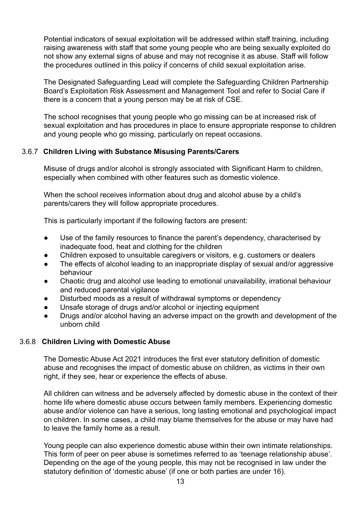Potential indicators of sexual exploitation will be addressed within staff training, including raising awareness with staff that some young people who are being sexually exploited do not show any external signs of abuse and may not recognise it as abuse. Staff will follow the procedures outlined in this policy if concerns of child sexual exploitation arise.

The Designated Safeguarding Lead will complete the Safeguarding Children Partnership Board's [Exploitation Risk Assessment and Management](http://www.safeguardingcambspeterborough.org.uk/wp-content/uploads/2018/05/Exploitation-CSECCE-Risk-Assessment-Tool.docx) Tool and refer to Social Care if there is a concern that a young person may be at risk of CSE.

The school recognises that young people who go missing can be at increased risk of sexual exploitation and has procedures in place to ensure appropriate response to children and young people who go missing, particularly on repeat occasions.

#### 3.6.7 **Children Living with Substance Misusing Parents/Carers**

Misuse of drugs and/or alcohol is strongly associated with Significant Harm to children, especially when combined with other features such as domestic violence.

When the school receives information about drug and alcohol abuse by a child's parents/carers they will follow appropriate procedures.

This is particularly important if the following factors are present:

- Use of the family resources to finance the parent's dependency, characterised by inadequate food, heat and clothing for the children
- Children exposed to unsuitable caregivers or visitors, e.g. customers or dealers
- The effects of alcohol leading to an inappropriate display of sexual and/or aggressive behaviour
- Chaotic drug and alcohol use leading to emotional unavailability, irrational behaviour and reduced parental vigilance
- Disturbed moods as a result of withdrawal symptoms or dependency
- Unsafe storage of drugs and/or alcohol or injecting equipment
- Drugs and/or alcohol having an adverse impact on the growth and development of the unborn child

#### 3.6.8 **Children Living with Domestic Abuse**

The Domestic Abuse Act 2021 introduces the first ever statutory definition of domestic abuse and recognises the impact of domestic abuse on children, as victims in their own right, if they see, hear or experience the effects of abuse.

All children can witness and be adversely affected by domestic abuse in the context of their home life where domestic abuse occurs between family members. Experiencing domestic abuse and/or violence can have a serious, long lasting emotional and psychological impact on children. In some cases, a child may blame themselves for the abuse or may have had to leave the family home as a result.

Young people can also experience domestic abuse within their own intimate relationships. This form of peer on peer abuse is sometimes referred to as 'teenage relationship abuse'. Depending on the age of the young people, this may not be recognised in law under the statutory definition of 'domestic abuse' (if one or both parties are under 16).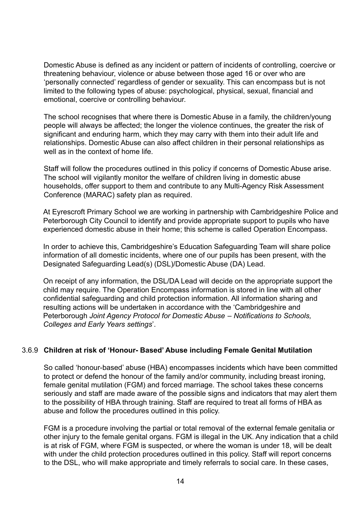Domestic Abuse is defined as any incident or pattern of incidents of controlling, coercive or threatening behaviour, violence or abuse between those aged 16 or over who are 'personally connected' regardless of gender or sexuality. This can encompass but is not limited to the following types of abuse: psychological, physical, sexual, financial and emotional, coercive or controlling behaviour.

The school recognises that where there is Domestic Abuse in a family, the children/young people will always be affected; the longer the violence continues, the greater the risk of significant and enduring harm, which they may carry with them into their adult life and relationships. Domestic Abuse can also affect children in their personal relationships as well as in the context of home life.

Staff will follow the procedures outlined in this policy if concerns of Domestic Abuse arise. The school will vigilantly monitor the welfare of children living in domestic abuse households, offer support to them and contribute to any Multi-Agency Risk Assessment Conference (MARAC) safety plan as required.

At Eyrescroft Primary School we are working in partnership with Cambridgeshire Police and Peterborough City Council to identify and provide appropriate support to pupils who have experienced domestic abuse in their home; this scheme is called Operation Encompass.

In order to achieve this, Cambridgeshire's Education Safeguarding Team will share police information of all domestic incidents, where one of our pupils has been present, with the Designated Safeguarding Lead(s) (DSL)/Domestic Abuse (DA) Lead.

On receipt of any information, the DSL/DA Lead will decide on the appropriate support the child may require. The Operation Encompass information is stored in line with all other confidential safeguarding and child protection information. All information sharing and resulting actions will be undertaken in accordance with the 'Cambridgeshire and Peterborough *Joint Agency Protocol for Domestic Abuse – Notifications to Schools, Colleges and Early Years settings*'.

#### 3.6.9 **Children at risk of 'Honour- Based' Abuse including Female Genital Mutilation**

So called 'honour-based' abuse (HBA) encompasses incidents which have been committed to protect or defend the honour of the family and/or community, including breast ironing, female genital mutilation (FGM) and forced marriage. The school takes these concerns seriously and staff are made aware of the possible signs and indicators that may alert them to the possibility of HBA through training. Staff are required to treat all forms of HBA as abuse and follow the procedures outlined in this policy.

FGM is a procedure involving the partial or total removal of the external female genitalia or other injury to the female genital organs. FGM is illegal in the UK. Any indication that a child is at risk of FGM, where FGM is suspected, or where the woman is under 18, will be dealt with under the child protection procedures outlined in this policy. Staff will report concerns to the DSL, who will make appropriate and timely referrals to social care. In these cases,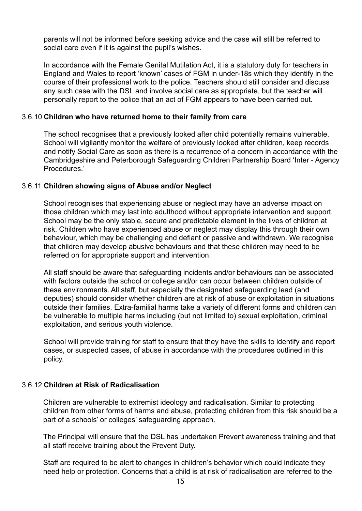parents will not be informed before seeking advice and the case will still be referred to social care even if it is against the pupil's wishes.

In accordance with the Female Genital Mutilation Act, it is a statutory duty for teachers in England and Wales to report 'known' cases of FGM in under-18s which they identify in the course of their professional work to the police. Teachers should still consider and discuss any such case with the DSL and involve social care as appropriate, but the teacher will personally report to the police that an act of FGM appears to have been carried out.

#### 3.6.10 **Children who have returned home to their family from care**

The school recognises that a previously looked after child potentially remains vulnerable. School will vigilantly monitor the welfare of previously looked after children, keep records and notify Social Care as soon as there is a recurrence of a concern in accordance with the Cambridgeshire and Peterborough Safeguarding Children Partnership Board 'Inter - Agency Procedures.'

#### 3.6.11 **Children showing signs of Abuse and/or Neglect**

School recognises that experiencing abuse or neglect may have an adverse impact on those children which may last into adulthood without appropriate intervention and support. School may be the only stable, secure and predictable element in the lives of children at risk. Children who have experienced abuse or neglect may display this through their own behaviour, which may be challenging and defiant or passive and withdrawn. We recognise that children may develop abusive behaviours and that these children may need to be referred on for appropriate support and intervention.

All staff should be aware that safeguarding incidents and/or behaviours can be associated with factors outside the school or college and/or can occur between children outside of these environments. All staff, but especially the designated safeguarding lead (and deputies) should consider whether children are at risk of abuse or exploitation in situations outside their families. Extra-familial harms take a variety of different forms and children can be vulnerable to multiple harms including (but not limited to) sexual exploitation, criminal exploitation, and serious youth violence.

School will provide training for staff to ensure that they have the skills to identify and report cases, or suspected cases, of abuse in accordance with the procedures outlined in this policy.

#### 3.6.12 **Children at Risk of Radicalisation**

Children are vulnerable to extremist ideology and radicalisation. Similar to protecting children from other forms of harms and abuse, protecting children from this risk should be a part of a schools' or colleges' safeguarding approach.

The Principal will ensure that the DSL has undertaken Prevent awareness training and that all staff receive training about the Prevent Duty.

Staff are required to be alert to changes in children's behavior which could indicate they need help or protection. Concerns that a child is at risk of radicalisation are referred to the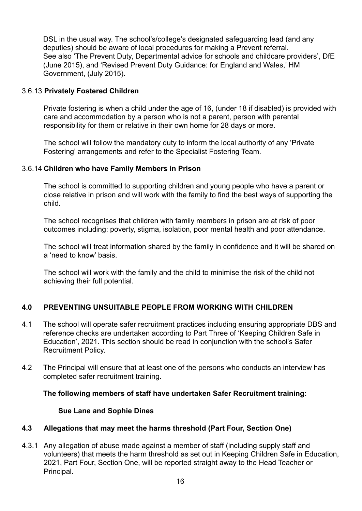DSL in the usual way. The school's/college's designated safeguarding lead (and any deputies) should be aware of local procedures for making a Prevent referral. See also 'The Prevent Duty, Departmental advice for schools and childcare providers', DfE (June 2015), and 'Revised Prevent Duty Guidance: for England and Wales,' HM Government, (July 2015).

#### 3.6.13 **Privately Fostered Children**

Private fostering is when a child under the age of 16, (under 18 if disabled) is provided with care and accommodation by a person who is not a parent, person with parental responsibility for them or relative in their own home for 28 days or more.

The school will follow the mandatory duty to inform the local authority of any 'Private Fostering' arrangements and refer to the Specialist Fostering Team.

#### 3.6.14 **Children who have Family Members in Prison**

The school is committed to supporting children and young people who have a parent or close relative in prison and will work with the family to find the best ways of supporting the child.

The school recognises that children with family members in prison are at risk of poor outcomes including: poverty, stigma, isolation, poor mental health and poor attendance.

The school will treat information shared by the family in confidence and it will be shared on a 'need to know' basis.

The school will work with the family and the child to minimise the risk of the child not achieving their full potential.

#### **4.0 PREVENTING UNSUITABLE PEOPLE FROM WORKING WITH CHILDREN**

- 4.1 The school will operate safer recruitment practices including ensuring appropriate DBS and reference checks are undertaken according to Part Three of 'Keeping Children Safe in Education', 2021. This section should be read in conjunction with the school's Safer Recruitment Policy.
- 4.2 The Principal will ensure that at least one of the persons who conducts an interview has completed safer recruitment training**.**

#### **The following members of staff have undertaken Safer Recruitment training:**

#### **Sue Lane and Sophie Dines**

#### **4.3 Allegations that may meet the harms threshold (Part Four, Section One)**

4.3.1 Any allegation of abuse made against a member of staff (including supply staff and volunteers) that meets the harm threshold as set out in Keeping Children Safe in Education, 2021, Part Four, Section One, will be reported straight away to the Head Teacher or Principal.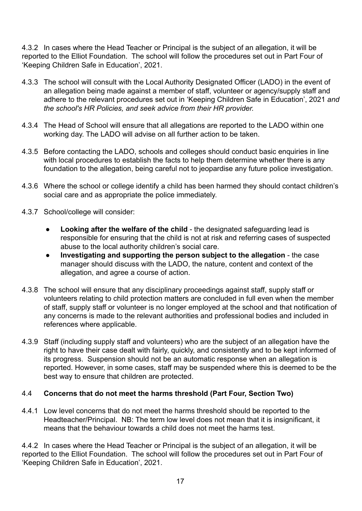4.3.2 In cases where the Head Teacher or Principal is the subject of an allegation, it will be reported to the Elliot Foundation. The school will follow the procedures set out in Part Four of 'Keeping Children Safe in Education', 2021.

- 4.3.3 The school will consult with the Local Authority Designated Officer (LADO) in the event of an allegation being made against a member of staff, volunteer or agency/supply staff and adhere to the relevant procedures set out in 'Keeping Children Safe in Education', 2021 *and the school's HR Policies, and seek advice from their HR provider.*
- 4.3.4 The Head of School will ensure that all allegations are reported to the LADO within one working day. The LADO will advise on all further action to be taken.
- 4.3.5 Before contacting the LADO, schools and colleges should conduct basic enquiries in line with local procedures to establish the facts to help them determine whether there is any foundation to the allegation, being careful not to jeopardise any future police investigation.
- 4.3.6 Where the school or college identify a child has been harmed they should contact children's social care and as appropriate the police immediately.
- 4.3.7 School/college will consider:
	- **Looking after the welfare of the child** the designated safeguarding lead is responsible for ensuring that the child is not at risk and referring cases of suspected abuse to the local authority children's social care.
	- **Investigating and supporting the person subject to the allegation** the case manager should discuss with the LADO, the nature, content and context of the allegation, and agree a course of action.
- 4.3.8 The school will ensure that any disciplinary proceedings against staff, supply staff or volunteers relating to child protection matters are concluded in full even when the member of staff, supply staff or volunteer is no longer employed at the school and that notification of any concerns is made to the relevant authorities and professional bodies and included in references where applicable.
- 4.3.9 Staff (including supply staff and volunteers) who are the subject of an allegation have the right to have their case dealt with fairly, quickly, and consistently and to be kept informed of its progress. Suspension should not be an automatic response when an allegation is reported. However, in some cases, staff may be suspended where this is deemed to be the best way to ensure that children are protected.

#### 4.4 **Concerns that do not meet the harms threshold (Part Four, Section Two)**

4.4.1 Low level concerns that do not meet the harms threshold should be reported to the Headteacher/Principal. NB: The term low level does not mean that it is insignificant, it means that the behaviour towards a child does not meet the harms test.

4.4.2 In cases where the Head Teacher or Principal is the subject of an allegation, it will be reported to the Elliot Foundation. The school will follow the procedures set out in Part Four of 'Keeping Children Safe in Education', 2021.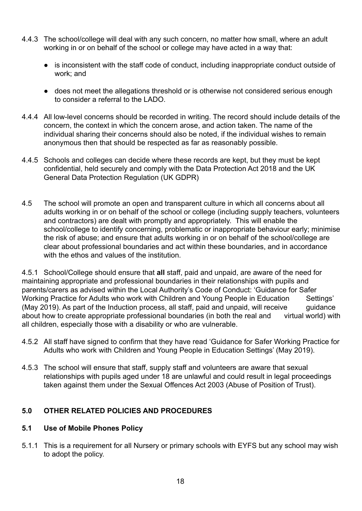- 4.4.3 The school/college will deal with any such concern, no matter how small, where an adult working in or on behalf of the school or college may have acted in a way that:
	- is inconsistent with the staff code of conduct, including inappropriate conduct outside of work; and
	- does not meet the allegations threshold or is otherwise not considered serious enough to consider a referral to the LADO.
- 4.4.4 All low-level concerns should be recorded in writing. The record should include details of the concern, the context in which the concern arose, and action taken. The name of the individual sharing their concerns should also be noted, if the individual wishes to remain anonymous then that should be respected as far as reasonably possible.
- 4.4.5 Schools and colleges can decide where these records are kept, but they must be kept confidential, held securely and comply with the Data Protection Act 2018 and the UK General Data Protection Regulation (UK GDPR)
- 4.5 The school will promote an open and transparent culture in which all concerns about all adults working in or on behalf of the school or college (including supply teachers, volunteers and contractors) are dealt with promptly and appropriately. This will enable the school/college to identify concerning, problematic or inappropriate behaviour early; minimise the risk of abuse; and ensure that adults working in or on behalf of the school/college are clear about professional boundaries and act within these boundaries, and in accordance with the ethos and values of the institution.

4.5.1 School/College should ensure that **all** staff, paid and unpaid, are aware of the need for maintaining appropriate and professional boundaries in their relationships with pupils and parents/carers as advised within the Local Authority's Code of Conduct: 'Guidance for Safer Working Practice for Adults who work with Children and Young People in Education Settings' (May 2019). As part of the Induction process, all staff, paid and unpaid, will receive guidance about how to create appropriate professional boundaries (in both the real and virtual world) with all children, especially those with a disability or who are vulnerable.

- 4.5.2 All staff have signed to confirm that they have read 'Guidance for Safer Working Practice for Adults who work with Children and Young People in Education Settings' (May 2019).
- 4.5.3 The school will ensure that staff, supply staff and volunteers are aware that sexual relationships with pupils aged under 18 are unlawful and could result in legal proceedings taken against them under the Sexual Offences Act 2003 (Abuse of Position of Trust).

#### **5.0 OTHER RELATED POLICIES AND PROCEDURES**

#### **5.1 Use of Mobile Phones Policy**

5.1.1 This is a requirement for all Nursery or primary schools with EYFS but any school may wish to adopt the policy.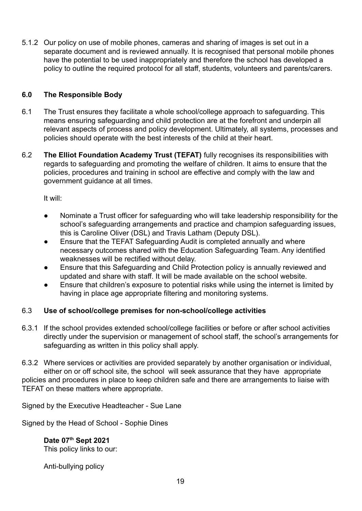5.1.2 Our policy on use of mobile phones, cameras and sharing of images is set out in a separate document and is reviewed annually. It is recognised that personal mobile phones have the potential to be used inappropriately and therefore the school has developed a policy to outline the required protocol for all staff, students, volunteers and parents/carers.

#### **6.0 The Responsible Body**

- 6.1 The Trust ensures they facilitate a whole school/college approach to safeguarding. This means ensuring safeguarding and child protection are at the forefront and underpin all relevant aspects of process and policy development. Ultimately, all systems, processes and policies should operate with the best interests of the child at their heart.
- 6.2 **The Elliot Foundation Academy Trust (TEFAT)** fully recognises its responsibilities with regards to safeguarding and promoting the welfare of children. It aims to ensure that the policies, procedures and training in school are effective and comply with the law and government guidance at all times.

It will:

- Nominate a Trust officer for safeguarding who will take leadership responsibility for the school's safeguarding arrangements and practice and champion safeguarding issues, this is Caroline Oliver (DSL) and Travis Latham (Deputy DSL).
- Ensure that the TEFAT Safeguarding Audit is completed annually and where necessary outcomes shared with the Education Safeguarding Team. Any identified weaknesses will be rectified without delay.
- Ensure that this Safeguarding and Child Protection policy is annually reviewed and updated and share with staff. It will be made available on the school website.
- Ensure that children's exposure to potential risks while using the internet is limited by having in place age appropriate filtering and monitoring systems.

#### 6.3 **Use of school/college premises for non-school/college activities**

- 6.3.1 If the school provides extended school/college facilities or before or after school activities directly under the supervision or management of school staff, the school's arrangements for safeguarding as written in this policy shall apply.
- 6.3.2 Where services or activities are provided separately by another organisation or individual, either on or off school site, the school will seek assurance that they have appropriate policies and procedures in place to keep children safe and there are arrangements to liaise with TEFAT on these matters where appropriate.

Signed by the Executive Headteacher - Sue Lane

Signed by the Head of School - Sophie Dines

**Date 07th Sept 2021** This policy links to our:

Anti-bullying policy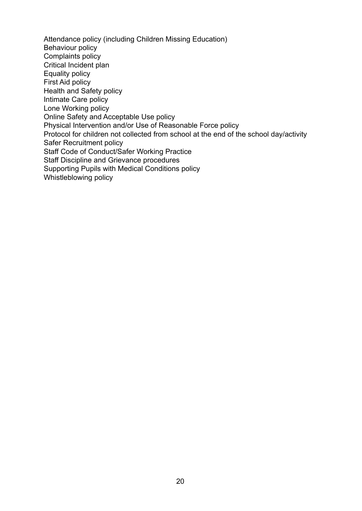Attendance policy (including Children Missing Education) Behaviour policy Complaints policy Critical Incident plan Equality policy First Aid policy Health and Safety policy Intimate Care policy Lone Working policy Online Safety and Acceptable Use policy Physical Intervention and/or Use of Reasonable Force policy Protocol for children not collected from school at the end of the school day/activity Safer Recruitment policy Staff Code of Conduct/Safer Working Practice Staff Discipline and Grievance procedures Supporting Pupils with Medical Conditions policy Whistleblowing policy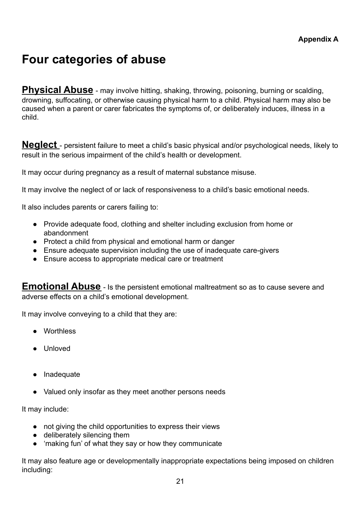### **Four categories of abuse**

**Physical Abuse** - may involve hitting, shaking, throwing, poisoning, burning or scalding, drowning, suffocating, or otherwise causing physical harm to a child. Physical harm may also be caused when a parent or carer fabricates the symptoms of, or deliberately induces, illness in a child.

**Neglect** - persistent failure to meet a child's basic physical and/or psychological needs, likely to result in the serious impairment of the child's health or development.

It may occur during pregnancy as a result of maternal substance misuse.

It may involve the neglect of or lack of responsiveness to a child's basic emotional needs.

It also includes parents or carers failing to:

- Provide adequate food, clothing and shelter including exclusion from home or abandonment
- Protect a child from physical and emotional harm or danger
- Ensure adequate supervision including the use of inadequate care-givers
- Ensure access to appropriate medical care or treatment

**Emotional Abuse** - Is the persistent emotional maltreatment so as to cause severe and adverse effects on a child's emotional development.

It may involve conveying to a child that they are:

- Worthless
- Unloved
- Inadequate
- Valued only insofar as they meet another persons needs

It may include:

- not giving the child opportunities to express their views
- deliberately silencing them
- 'making fun' of what they say or how they communicate

It may also feature age or developmentally inappropriate expectations being imposed on children including: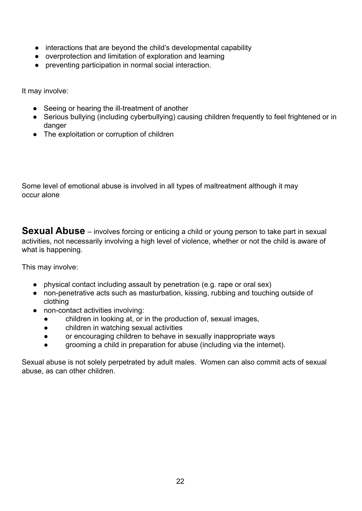- interactions that are beyond the child's developmental capability
- overprotection and limitation of exploration and learning
- preventing participation in normal social interaction.

It may involve:

- Seeing or hearing the ill-treatment of another
- Serious bullying (including cyberbullying) causing children frequently to feel frightened or in danger
- The exploitation or corruption of children

Some level of emotional abuse is involved in all types of maltreatment although it may occur alone

**Sexual Abuse** – involves forcing or enticing a child or young person to take part in sexual activities, not necessarily involving a high level of violence, whether or not the child is aware of what is happening.

This may involve:

- physical contact including assault by penetration (e.g. rape or oral sex)
- non-penetrative acts such as masturbation, kissing, rubbing and touching outside of clothing
- non-contact activities involving:
	- children in looking at, or in the production of, sexual images,
	- children in watching sexual activities
	- or encouraging children to behave in sexually inappropriate ways
	- grooming a child in preparation for abuse (including via the internet).

Sexual abuse is not solely perpetrated by adult males. Women can also commit acts of sexual abuse, as can other children.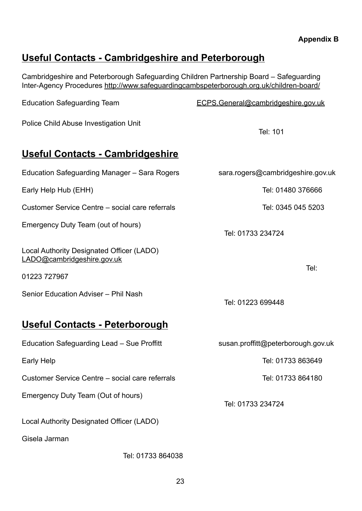#### **Appendix B**

### **Useful Contacts - Cambridgeshire and Peterborough**

Cambridgeshire and Peterborough Safeguarding Children Partnership Board – Safeguarding Inter-Agency Procedures <http://www.safeguardingcambspeterborough.org.uk/children-board/>

| <b>Education Safeguarding Team</b>                                      | ECPS.General@cambridgeshire.gov.uk |
|-------------------------------------------------------------------------|------------------------------------|
| Police Child Abuse Investigation Unit                                   | Tel: 101                           |
| <u> Useful Contacts - Cambridgeshire</u>                                |                                    |
| Education Safeguarding Manager - Sara Rogers                            | sara.rogers@cambridgeshire.gov.uk  |
| Early Help Hub (EHH)                                                    | Tel: 01480 376666                  |
| Customer Service Centre – social care referrals                         | Tel: 0345 045 5203                 |
| Emergency Duty Team (out of hours)                                      | Tel: 01733 234724                  |
| Local Authority Designated Officer (LADO)<br>LADO@cambridgeshire.gov.uk |                                    |
| 01223 727967                                                            | Tel:                               |
| Senior Education Adviser - Phil Nash                                    | Tel: 01223 699448                  |
| Useful Contacts - Peterborough                                          |                                    |
| Education Safeguarding Lead - Sue Proffitt                              | susan.proffitt@peterborough.gov.uk |
| Early Help                                                              | Tel: 01733 863649                  |
| Customer Service Centre - social care referrals                         | Tel: 01733 864180                  |
| Emergency Duty Team (Out of hours)                                      | Tel: 01733 234724                  |
| Local Authority Designated Officer (LADO)                               |                                    |
| Gisela Jarman                                                           |                                    |

Tel: 01733 864038